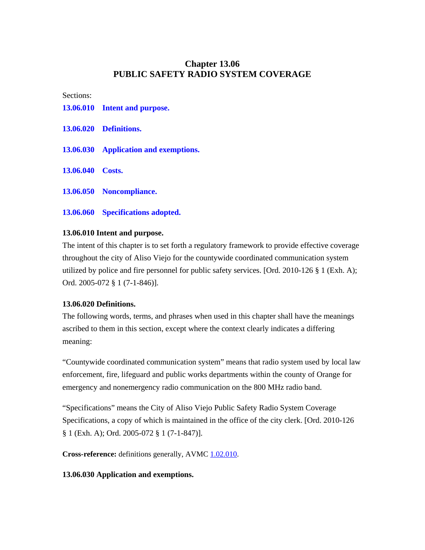# **Chapter 13.06 PUBLIC SAFETY RADIO SYSTEM COVERAGE**

Sections:

- **13.06.010 Intent and purpose.**
- **13.06.020 Definitions.**
- **13.06.030 Application and exemptions.**
- **13.06.040 Costs.**
- **13.06.050 Noncompliance.**
- **13.06.060 Specifications adopted.**

#### **13.06.010 Intent and purpose.**

The intent of this chapter is to set forth a regulatory framework to provide effective coverage throughout the city of Aliso Viejo for the countywide coordinated communication system utilized by police and fire personnel for public safety services. [Ord. 2010-126 § 1 (Exh. A); Ord. 2005-072 § 1 (7-1-846)].

#### **13.06.020 Definitions.**

The following words, terms, and phrases when used in this chapter shall have the meanings ascribed to them in this section, except where the context clearly indicates a differing meaning:

"Countywide coordinated communication system" means that radio system used by local law enforcement, fire, lifeguard and public works departments within the county of Orange for emergency and nonemergency radio communication on the 800 MHz radio band.

"Specifications" means the City of Aliso Viejo Public Safety Radio System Coverage Specifications, a copy of which is maintained in the office of the city clerk. [Ord. 2010-126 § 1 (Exh. A); Ord. 2005-072 § 1 (7-1-847)].

**Cross-reference:** definitions generally, AVMC  $1.02.010$ .

#### **13.06.030 Application and exemptions.**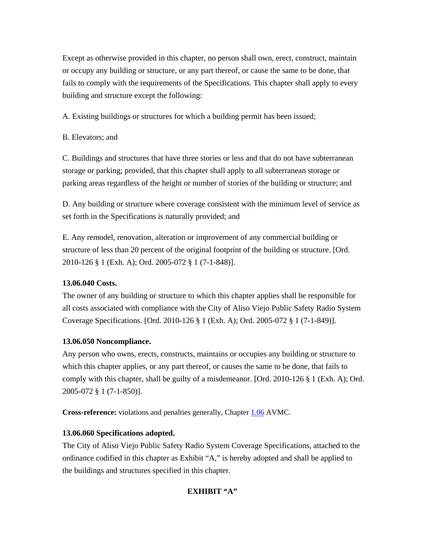Except as otherwise provided in this chapter, no person shall own, erect, construct, maintain or occupy any building or structure, or any part thereof, or cause the same to be done, that fails to comply with the requirements of the Specifications. This chapter shall apply to every building and structure except the following:

A. Existing buildings or structures for which a building permit has been issued;

B. Elevators; and

C. Buildings and structures that have three stories or less and that do not have subterranean storage or parking; provided, that this chapter shall apply to all subterranean storage or parking areas regardless of the height or number of stories of the building or structure; and

D. Any building or structure where coverage consistent with the minimum level of service as set forth in the Specifications is naturally provided; and

E. Any remodel, renovation, alteration or improvement of any commercial building or structure of less than 20 percent of the original footprint of the building or structure. [Ord. 2010-126 § 1 (Exh. A); Ord. 2005-072 § 1 (7-1-848)].

## **13.06.040 Costs.**

The owner of any building or structure to which this chapter applies shall be responsible for all costs associated with compliance with the City of Aliso Viejo Public Safety Radio System Coverage Specifications. [Ord. 2010-126 § 1 (Exh. A); Ord. 2005-072 § 1 (7-1-849)].

## **13.06.050 Noncompliance.**

Any person who owns, erects, constructs, maintains or occupies any building or structure to which this chapter applies, or any part thereof, or causes the same to be done, that fails to comply with this chapter, shall be guilty of a misdemeanor. [Ord. 2010-126 § 1 (Exh. A); Ord. 2005-072 § 1 (7-1-850)].

**Cross-reference:** violations and penalties generally, Chapter 1.06 AVMC.

## **13.06.060 Specifications adopted.**

The City of Aliso Viejo Public Safety Radio System Coverage Specifications, attached to the ordinance codified in this chapter as Exhibit "A," is hereby adopted and shall be applied to the buildings and structures specified in this chapter.

## **EXHIBIT "A"**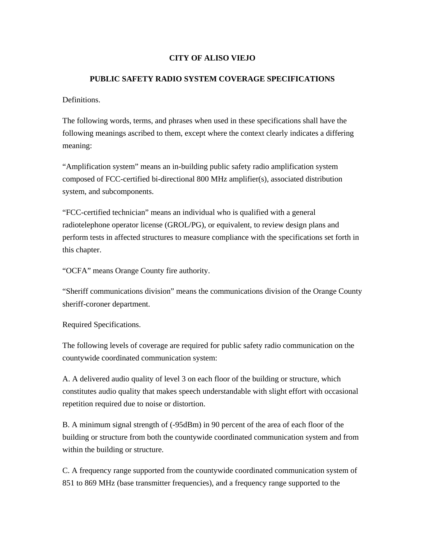### **CITY OF ALISO VIEJO**

#### **PUBLIC SAFETY RADIO SYSTEM COVERAGE SPECIFICATIONS**

Definitions.

The following words, terms, and phrases when used in these specifications shall have the following meanings ascribed to them, except where the context clearly indicates a differing meaning:

"Amplification system" means an in-building public safety radio amplification system composed of FCC-certified bi-directional 800 MHz amplifier(s), associated distribution system, and subcomponents.

"FCC-certified technician" means an individual who is qualified with a general radiotelephone operator license (GROL/PG), or equivalent, to review design plans and perform tests in affected structures to measure compliance with the specifications set forth in this chapter.

"OCFA" means Orange County fire authority.

"Sheriff communications division" means the communications division of the Orange County sheriff-coroner department.

Required Specifications.

The following levels of coverage are required for public safety radio communication on the countywide coordinated communication system:

A. A delivered audio quality of level 3 on each floor of the building or structure, which constitutes audio quality that makes speech understandable with slight effort with occasional repetition required due to noise or distortion.

B. A minimum signal strength of (-95dBm) in 90 percent of the area of each floor of the building or structure from both the countywide coordinated communication system and from within the building or structure.

C. A frequency range supported from the countywide coordinated communication system of 851 to 869 MHz (base transmitter frequencies), and a frequency range supported to the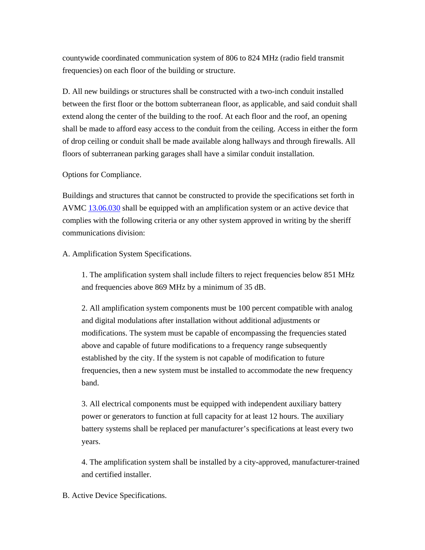countywide coordinated communication system of 806 to 824 MHz (radio field transmit frequencies) on each floor of the building or structure.

D. All new buildings or structures shall be constructed with a two-inch conduit installed between the first floor or the bottom subterranean floor, as applicable, and said conduit shall extend along the center of the building to the roof. At each floor and the roof, an opening shall be made to afford easy access to the conduit from the ceiling. Access in either the form of drop ceiling or conduit shall be made available along hallways and through firewalls. All floors of subterranean parking garages shall have a similar conduit installation.

Options for Compliance.

Buildings and structures that cannot be constructed to provide the specifications set forth in AVMC 13.06.030 shall be equipped with an amplification system or an active device that complies with the following criteria or any other system approved in writing by the sheriff communications division:

A. Amplification System Specifications.

1. The amplification system shall include filters to reject frequencies below 851 MHz and frequencies above 869 MHz by a minimum of 35 dB.

2. All amplification system components must be 100 percent compatible with analog and digital modulations after installation without additional adjustments or modifications. The system must be capable of encompassing the frequencies stated above and capable of future modifications to a frequency range subsequently established by the city. If the system is not capable of modification to future frequencies, then a new system must be installed to accommodate the new frequency band.

3. All electrical components must be equipped with independent auxiliary battery power or generators to function at full capacity for at least 12 hours. The auxiliary battery systems shall be replaced per manufacturer's specifications at least every two years.

4. The amplification system shall be installed by a city-approved, manufacturer-trained and certified installer.

B. Active Device Specifications.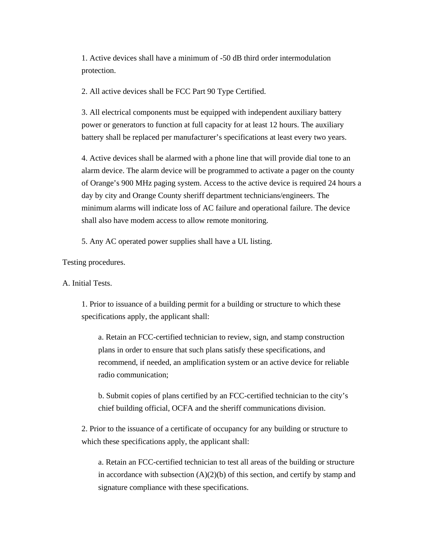1. Active devices shall have a minimum of -50 dB third order intermodulation protection.

2. All active devices shall be FCC Part 90 Type Certified.

3. All electrical components must be equipped with independent auxiliary battery power or generators to function at full capacity for at least 12 hours. The auxiliary battery shall be replaced per manufacturer's specifications at least every two years.

4. Active devices shall be alarmed with a phone line that will provide dial tone to an alarm device. The alarm device will be programmed to activate a pager on the county of Orange's 900 MHz paging system. Access to the active device is required 24 hours a day by city and Orange County sheriff department technicians/engineers. The minimum alarms will indicate loss of AC failure and operational failure. The device shall also have modem access to allow remote monitoring.

5. Any AC operated power supplies shall have a UL listing.

Testing procedures.

A. Initial Tests.

1. Prior to issuance of a building permit for a building or structure to which these specifications apply, the applicant shall:

a. Retain an FCC-certified technician to review, sign, and stamp construction plans in order to ensure that such plans satisfy these specifications, and recommend, if needed, an amplification system or an active device for reliable radio communication;

b. Submit copies of plans certified by an FCC-certified technician to the city's chief building official, OCFA and the sheriff communications division.

2. Prior to the issuance of a certificate of occupancy for any building or structure to which these specifications apply, the applicant shall:

a. Retain an FCC-certified technician to test all areas of the building or structure in accordance with subsection  $(A)(2)(b)$  of this section, and certify by stamp and signature compliance with these specifications.